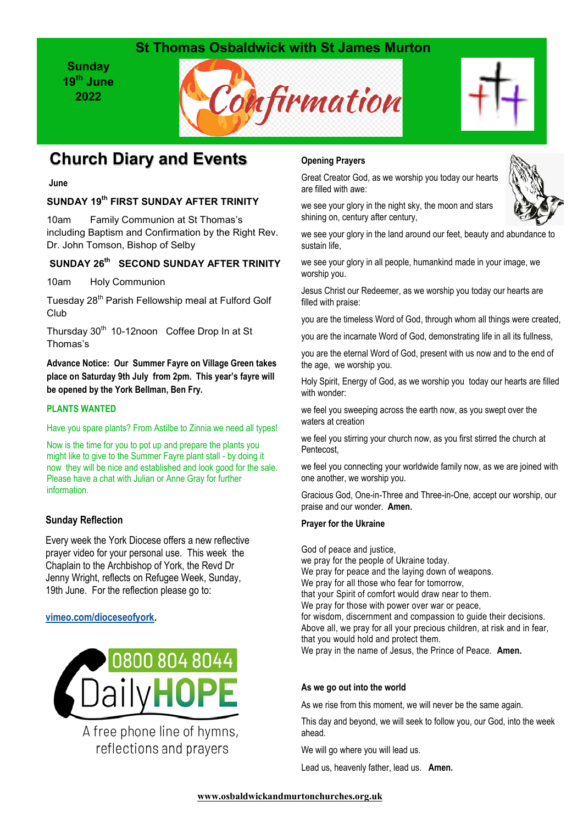## **St Thomas Osbaldwick with St James Murton**

**Sunday 19th June 2022**





# **Church Diary and Events**

**June**

## **SUNDAY 19th FIRST SUNDAY AFTER TRINITY**

10am Family Communion at St Thomas's including Baptism and Confirmation by the Right Rev. Dr. John Tomson, Bishop of Selby

## **SUNDAY 26th SECOND SUNDAY AFTER TRINITY**

10am Holy Communion

Tuesday 28<sup>th</sup> Parish Fellowship meal at Fulford Golf Club

Thursday 30<sup>th</sup> 10-12noon Coffee Drop In at St Thomas's

**Advance Notice: Our Summer Fayre on Village Green takes place on Saturday 9th July from 2pm. This year's fayre will be opened by the York Bellman, Ben Fry.**

#### **PLANTS WANTED**

Have you spare plants? From Astilbe to Zinnia we need all types!

Now is the time for you to pot up and prepare the plants you might like to give to the Summer Fayre plant stall - by doing it now they will be nice and established and look good for the sale. Please have a chat with Julian or Anne Gray for further information.

### **Sunday Reflection**

Every week the York Diocese offers a new reflective prayer video for your personal use. This week the Chaplain to the Archbishop of York, the Revd Dr Jenny Wright, reflects on Refugee Week, Sunday, 19th June. For the reflection please go to:

#### **[vimeo.com/dioceseofyork.](https://vimeo.com/dioceseofyork)**



A free phone line of hymns, reflections and prayers

## **Opening Prayers**

Great Creator God, as we worship you today our hearts are filled with awe:



we see your glory in the night sky, the moon and stars shining on, century after century,

we see your glory in the land around our feet, beauty and abundance to sustain life,

we see your glory in all people, humankind made in your image, we worship you.

Jesus Christ our Redeemer, as we worship you today our hearts are filled with praise:

you are the timeless Word of God, through whom all things were created,

you are the incarnate Word of God, demonstrating life in all its fullness,

you are the eternal Word of God, present with us now and to the end of the age, we worship you.

Holy Spirit, Energy of God, as we worship you today our hearts are filled with wonder:

we feel you sweeping across the earth now, as you swept over the waters at creation

we feel you stirring your church now, as you first stirred the church at Pentecost,

we feel you connecting your worldwide family now, as we are joined with one another, we worship you.

Gracious God, One-in-Three and Three-in-One, accept our worship, our praise and our wonder. **Amen.**

#### **Prayer for the Ukraine**

God of peace and justice, we pray for the people of Ukraine today. We pray for peace and the laying down of weapons. We pray for all those who fear for tomorrow, that your Spirit of comfort would draw near to them. We pray for those with power over war or peace, for wisdom, discernment and compassion to guide their decisions. Above all, we pray for all your precious children, at risk and in fear, that you would hold and protect them. We pray in the name of Jesus, the Prince of Peace. **Amen.**

#### **As we go out into the world**

As we rise from this moment, we will never be the same again.

This day and beyond, we will seek to follow you, our God, into the week ahead.

We will go where you will lead us.

Lead us, heavenly father, lead us. **Amen.**